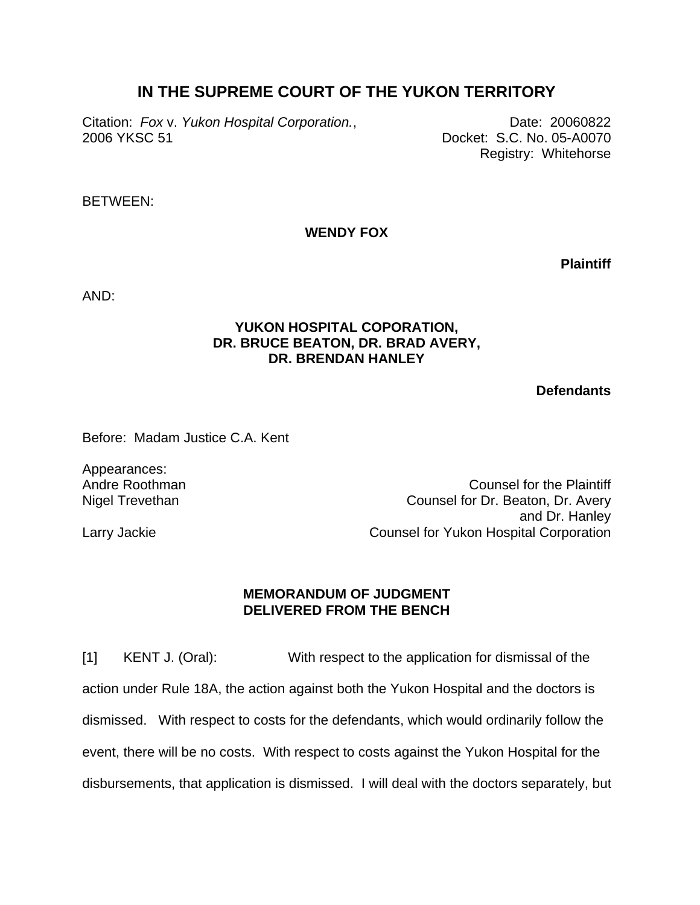## **IN THE SUPREME COURT OF THE YUKON TERRITORY**

Citation: *Fox v. Yukon Hospital Corporation.*, **Date: 20060822** 2006 YKSC 51 Docket: S.C. No. 05-A0070

Registry: Whitehorse

BETWEEN:

**WENDY FOX** 

**Plaintiff**

AND:

## **YUKON HOSPITAL COPORATION, DR. BRUCE BEATON, DR. BRAD AVERY, DR. BRENDAN HANLEY**

**Defendants**

Before: Madam Justice C.A. Kent

Appearances: Andre Roothman Nigel Trevethan

Counsel for the Plaintiff Counsel for Dr. Beaton, Dr. Avery and Dr. Hanley Counsel for Yukon Hospital Corporation

Larry Jackie

## **MEMORANDUM OF JUDGMENT DELIVERED FROM THE BENCH**

[1] KENT J. (Oral): With respect to the application for dismissal of the action under Rule 18A, the action against both the Yukon Hospital and the doctors is dismissed. With respect to costs for the defendants, which would ordinarily follow the event, there will be no costs. With respect to costs against the Yukon Hospital for the disbursements, that application is dismissed. I will deal with the doctors separately, but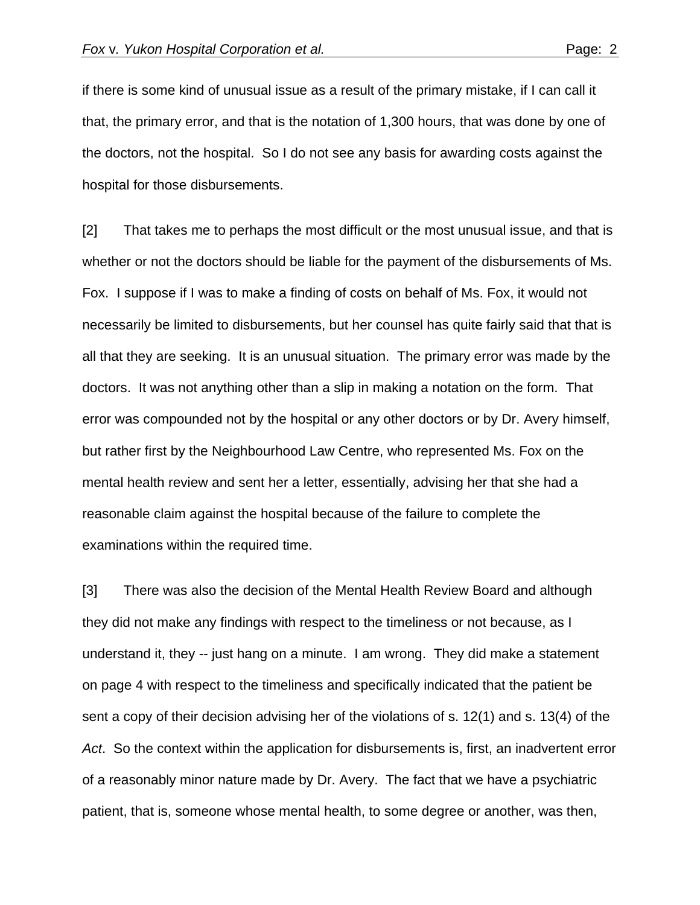if there is some kind of unusual issue as a result of the primary mistake, if I can call it that, the primary error, and that is the notation of 1,300 hours, that was done by one of the doctors, not the hospital. So I do not see any basis for awarding costs against the hospital for those disbursements.

[2] That takes me to perhaps the most difficult or the most unusual issue, and that is whether or not the doctors should be liable for the payment of the disbursements of Ms. Fox. I suppose if I was to make a finding of costs on behalf of Ms. Fox, it would not necessarily be limited to disbursements, but her counsel has quite fairly said that that is all that they are seeking. It is an unusual situation. The primary error was made by the doctors. It was not anything other than a slip in making a notation on the form. That error was compounded not by the hospital or any other doctors or by Dr. Avery himself, but rather first by the Neighbourhood Law Centre, who represented Ms. Fox on the mental health review and sent her a letter, essentially, advising her that she had a reasonable claim against the hospital because of the failure to complete the examinations within the required time.

[3] There was also the decision of the Mental Health Review Board and although they did not make any findings with respect to the timeliness or not because, as I understand it, they -- just hang on a minute. I am wrong. They did make a statement on page 4 with respect to the timeliness and specifically indicated that the patient be sent a copy of their decision advising her of the violations of s. 12(1) and s. 13(4) of the *Act*. So the context within the application for disbursements is, first, an inadvertent error of a reasonably minor nature made by Dr. Avery. The fact that we have a psychiatric patient, that is, someone whose mental health, to some degree or another, was then,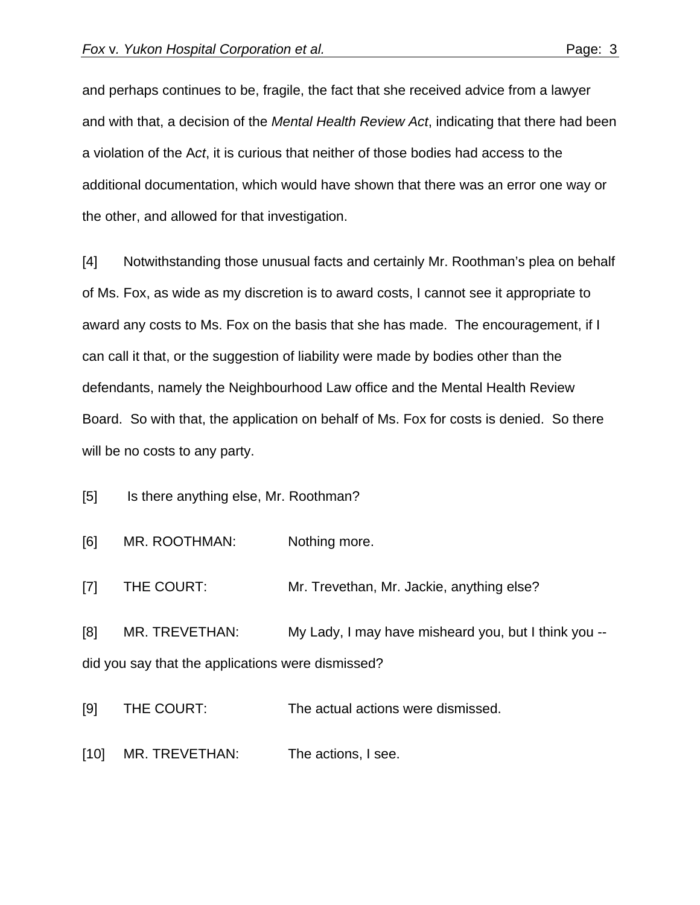and perhaps continues to be, fragile, the fact that she received advice from a lawyer and with that, a decision of the *Mental Health Review Act*, indicating that there had been a violation of the A*ct*, it is curious that neither of those bodies had access to the additional documentation, which would have shown that there was an error one way or the other, and allowed for that investigation.

[4] Notwithstanding those unusual facts and certainly Mr. Roothman's plea on behalf of Ms. Fox, as wide as my discretion is to award costs, I cannot see it appropriate to award any costs to Ms. Fox on the basis that she has made. The encouragement, if I can call it that, or the suggestion of liability were made by bodies other than the defendants, namely the Neighbourhood Law office and the Mental Health Review Board. So with that, the application on behalf of Ms. Fox for costs is denied. So there will be no costs to any party.

[5] Is there anything else, Mr. Roothman?

[6] MR. ROOTHMAN: Nothing more.

[7] THE COURT: Mr. Trevethan, Mr. Jackie, anything else?

[8] MR. TREVETHAN: My Lady, I may have misheard you, but I think you - did you say that the applications were dismissed?

[9] THE COURT: The actual actions were dismissed.

[10] MR. TREVETHAN: The actions, I see.